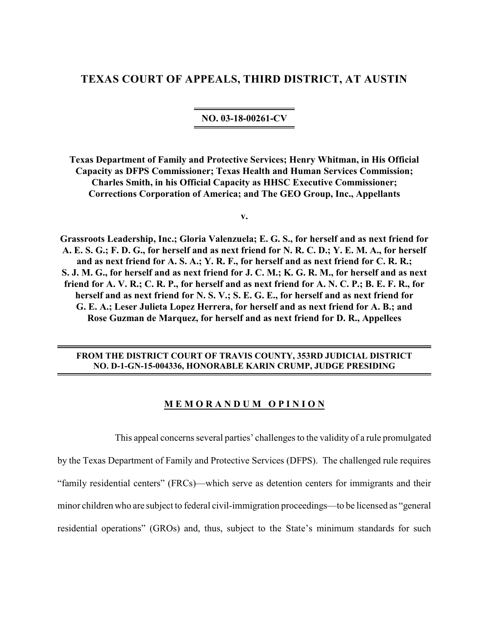# **TEXAS COURT OF APPEALS, THIRD DISTRICT, AT AUSTIN**

**NO. 03-18-00261-CV**

**Texas Department of Family and Protective Services; Henry Whitman, in His Official Capacity as DFPS Commissioner; Texas Health and Human Services Commission; Charles Smith, in his Official Capacity as HHSC Executive Commissioner; Corrections Corporation of America; and The GEO Group, Inc., Appellants**

**v.**

**Grassroots Leadership, Inc.; Gloria Valenzuela; E. G. S., for herself and as next friend for A. E. S. G.; F. D. G., for herself and as next friend for N. R. C. D.; Y. E. M. A., for herself and as next friend for A. S. A.; Y. R. F., for herself and as next friend for C. R. R.; S. J. M. G., for herself and as next friend for J. C. M.; K. G. R. M., for herself and as next friend for A. V. R.; C. R. P., for herself and as next friend for A. N. C. P.; B. E. F. R., for herself and as next friend for N. S. V.; S. E. G. E., for herself and as next friend for G. E. A.; Leser Julieta Lopez Herrera, for herself and as next friend for A. B.; and Rose Guzman de Marquez, for herself and as next friend for D. R., Appellees**

# **FROM THE DISTRICT COURT OF TRAVIS COUNTY, 353RD JUDICIAL DISTRICT NO. D-1-GN-15-004336, HONORABLE KARIN CRUMP, JUDGE PRESIDING**

### **M E M O R A N D U M O P I N I O N**

This appeal concerns several parties' challenges to the validity of a rule promulgated by the Texas Department of Family and Protective Services (DFPS). The challenged rule requires "family residential centers" (FRCs)—which serve as detention centers for immigrants and their minor children who are subject to federal civil-immigration proceedings—to be licensed as "general residential operations" (GROs) and, thus, subject to the State's minimum standards for such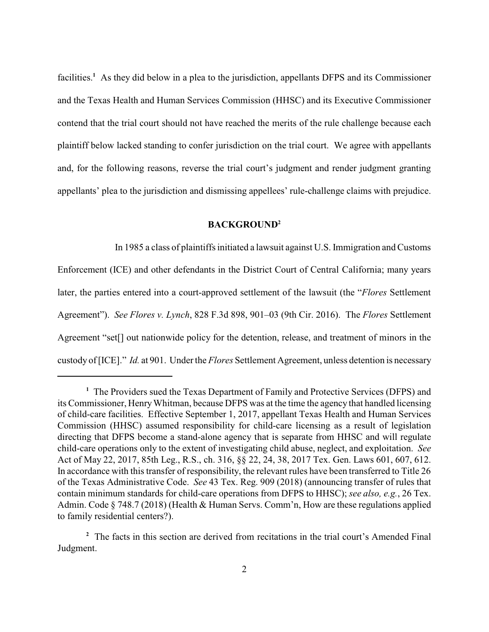facilities.<sup>1</sup> As they did below in a plea to the jurisdiction, appellants DFPS and its Commissioner and the Texas Health and Human Services Commission (HHSC) and its Executive Commissioner contend that the trial court should not have reached the merits of the rule challenge because each plaintiff below lacked standing to confer jurisdiction on the trial court. We agree with appellants and, for the following reasons, reverse the trial court's judgment and render judgment granting appellants' plea to the jurisdiction and dismissing appellees' rule-challenge claims with prejudice.

# **BACKGROUND<sup>2</sup>**

In 1985 a class of plaintiffs initiated a lawsuit against U.S. Immigration and Customs Enforcement (ICE) and other defendants in the District Court of Central California; many years later, the parties entered into a court-approved settlement of the lawsuit (the "*Flores* Settlement Agreement"). *See Flores v. Lynch*, 828 F.3d 898, 901–03 (9th Cir. 2016). The *Flores* Settlement Agreement "set<sup>[]</sup> out nationwide policy for the detention, release, and treatment of minors in the custody of [ICE]." *Id.* at 901. Underthe *Flores* Settlement Agreement, unless detention is necessary

<sup>&</sup>lt;sup>1</sup> The Providers sued the Texas Department of Family and Protective Services (DFPS) and its Commissioner, HenryWhitman, because DFPS was at the time the agency that handled licensing of child-care facilities. Effective September 1, 2017, appellant Texas Health and Human Services Commission (HHSC) assumed responsibility for child-care licensing as a result of legislation directing that DFPS become a stand-alone agency that is separate from HHSC and will regulate child-care operations only to the extent of investigating child abuse, neglect, and exploitation. *See* Act of May 22, 2017, 85th Leg., R.S., ch. 316, §§ 22, 24, 38, 2017 Tex. Gen. Laws 601, 607, 612. In accordance with this transfer of responsibility, the relevant rules have been transferred to Title 26 of the Texas Administrative Code. *See* 43 Tex. Reg. 909 (2018) (announcing transfer of rules that contain minimum standards for child-care operations from DFPS to HHSC); *see also, e.g.*, 26 Tex. Admin. Code § 748.7 (2018) (Health & Human Servs. Comm'n, How are these regulations applied to family residential centers?).

<sup>&</sup>lt;sup>2</sup> The facts in this section are derived from recitations in the trial court's Amended Final Judgment.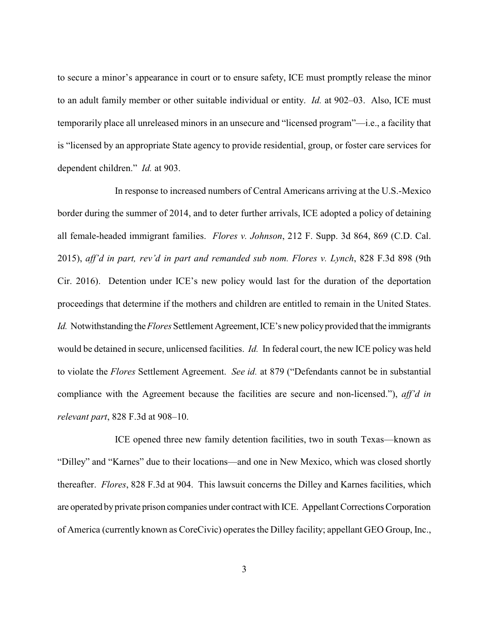to secure a minor's appearance in court or to ensure safety, ICE must promptly release the minor to an adult family member or other suitable individual or entity. *Id.* at 902–03. Also, ICE must temporarily place all unreleased minors in an unsecure and "licensed program"—i.e., a facility that is "licensed by an appropriate State agency to provide residential, group, or foster care services for dependent children." *Id.* at 903.

In response to increased numbers of Central Americans arriving at the U.S.-Mexico border during the summer of 2014, and to deter further arrivals, ICE adopted a policy of detaining all female-headed immigrant families. *Flores v. Johnson*, 212 F. Supp. 3d 864, 869 (C.D. Cal. 2015), *aff'd in part, rev'd in part and remanded sub nom. Flores v. Lynch*, 828 F.3d 898 (9th Cir. 2016). Detention under ICE's new policy would last for the duration of the deportation proceedings that determine if the mothers and children are entitled to remain in the United States. *Id.* Notwithstanding the *Flores* Settlement Agreement, ICE's new policy provided that the immigrants would be detained in secure, unlicensed facilities. *Id.* In federal court, the new ICE policy was held to violate the *Flores* Settlement Agreement. *See id.* at 879 ("Defendants cannot be in substantial compliance with the Agreement because the facilities are secure and non-licensed."), *aff'd in relevant part*, 828 F.3d at 908–10.

ICE opened three new family detention facilities, two in south Texas—known as "Dilley" and "Karnes" due to their locations—and one in New Mexico, which was closed shortly thereafter. *Flores*, 828 F.3d at 904. This lawsuit concerns the Dilley and Karnes facilities, which are operated by private prison companies under contract with ICE. Appellant Corrections Corporation of America (currently known as CoreCivic) operates the Dilley facility; appellant GEO Group, Inc.,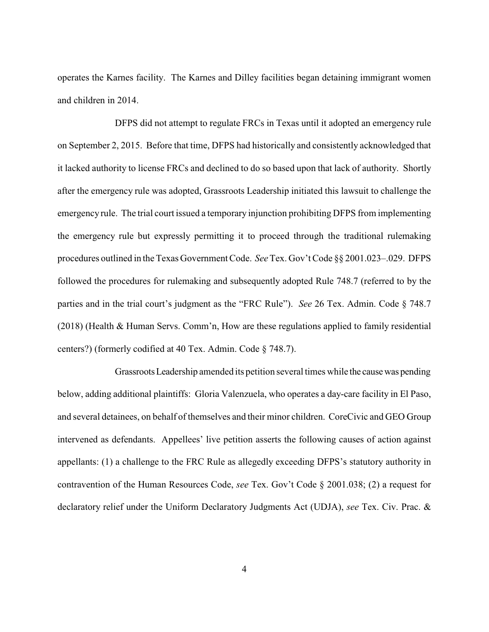operates the Karnes facility. The Karnes and Dilley facilities began detaining immigrant women and children in 2014.

DFPS did not attempt to regulate FRCs in Texas until it adopted an emergency rule on September 2, 2015. Before that time, DFPS had historically and consistently acknowledged that it lacked authority to license FRCs and declined to do so based upon that lack of authority. Shortly after the emergency rule was adopted, Grassroots Leadership initiated this lawsuit to challenge the emergency rule. The trial court issued a temporary injunction prohibiting DFPS from implementing the emergency rule but expressly permitting it to proceed through the traditional rulemaking procedures outlined in the Texas Government Code. *See*Tex. Gov't Code §§ 2001.023–.029. DFPS followed the procedures for rulemaking and subsequently adopted Rule 748.7 (referred to by the parties and in the trial court's judgment as the "FRC Rule"). *See* 26 Tex. Admin. Code § 748.7 (2018) (Health & Human Servs. Comm'n, How are these regulations applied to family residential centers?) (formerly codified at 40 Tex. Admin. Code § 748.7).

GrassrootsLeadership amended its petition several times while the causewas pending below, adding additional plaintiffs: Gloria Valenzuela, who operates a day-care facility in El Paso, and several detainees, on behalf of themselves and their minor children. CoreCivic and GEO Group intervened as defendants. Appellees' live petition asserts the following causes of action against appellants: (1) a challenge to the FRC Rule as allegedly exceeding DFPS's statutory authority in contravention of the Human Resources Code, *see* Tex. Gov't Code § 2001.038; (2) a request for declaratory relief under the Uniform Declaratory Judgments Act (UDJA), *see* Tex. Civ. Prac. &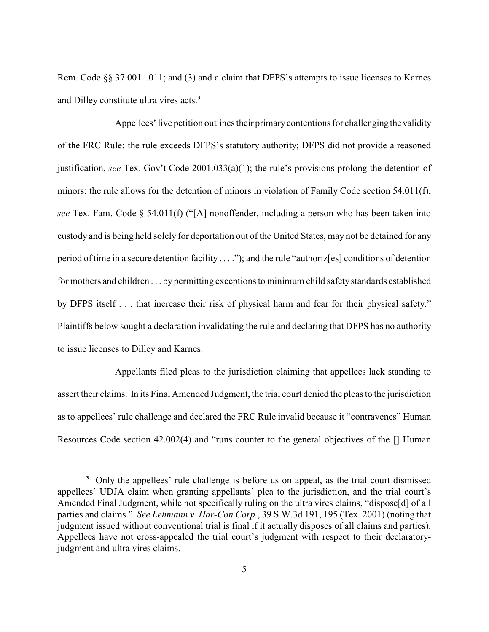Rem. Code §§ 37.001–.011; and (3) and a claim that DFPS's attempts to issue licenses to Karnes and Dilley constitute ultra vires acts.**<sup>3</sup>**

Appellees' live petition outlines their primary contentions for challenging the validity of the FRC Rule: the rule exceeds DFPS's statutory authority; DFPS did not provide a reasoned justification, *see* Tex. Gov't Code 2001.033(a)(1); the rule's provisions prolong the detention of minors; the rule allows for the detention of minors in violation of Family Code section 54.011(f), *see* Tex. Fam. Code § 54.011(f) ("[A] nonoffender, including a person who has been taken into custody and is being held solely for deportation out of the United States, may not be detained for any period of time in a secure detention facility . . . ."); and the rule "authoriz[es] conditions of detention for mothers and children . . . by permitting exceptions to minimum child safety standards established by DFPS itself . . . that increase their risk of physical harm and fear for their physical safety." Plaintiffs below sought a declaration invalidating the rule and declaring that DFPS has no authority to issue licenses to Dilley and Karnes.

Appellants filed pleas to the jurisdiction claiming that appellees lack standing to assert their claims. In its Final Amended Judgment, the trial court denied the pleas to the jurisdiction as to appellees' rule challenge and declared the FRC Rule invalid because it "contravenes" Human Resources Code section 42.002(4) and "runs counter to the general objectives of the [] Human

Only the appellees' rule challenge is before us on appeal, as the trial court dismissed **<sup>3</sup>** appellees' UDJA claim when granting appellants' plea to the jurisdiction, and the trial court's Amended Final Judgment, while not specifically ruling on the ultra vires claims, "dispose[d] of all parties and claims." *See Lehmann v. Har-Con Corp.*, 39 S.W.3d 191, 195 (Tex. 2001) (noting that judgment issued without conventional trial is final if it actually disposes of all claims and parties). Appellees have not cross-appealed the trial court's judgment with respect to their declaratoryjudgment and ultra vires claims.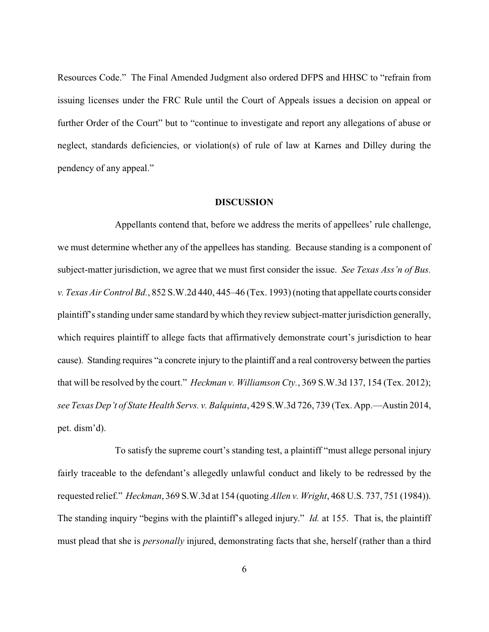Resources Code." The Final Amended Judgment also ordered DFPS and HHSC to "refrain from issuing licenses under the FRC Rule until the Court of Appeals issues a decision on appeal or further Order of the Court" but to "continue to investigate and report any allegations of abuse or neglect, standards deficiencies, or violation(s) of rule of law at Karnes and Dilley during the pendency of any appeal."

### **DISCUSSION**

Appellants contend that, before we address the merits of appellees' rule challenge, we must determine whether any of the appellees has standing. Because standing is a component of subject-matter jurisdiction, we agree that we must first consider the issue. *See Texas Ass'n of Bus. v. Texas Air Control Bd.*, 852 S.W.2d 440, 445–46 (Tex. 1993) (noting that appellate courts consider plaintiff's standing under same standard by which they review subject-matterjurisdiction generally, which requires plaintiff to allege facts that affirmatively demonstrate court's jurisdiction to hear cause). Standing requires "a concrete injury to the plaintiff and a real controversy between the parties that will be resolved by the court." *Heckman v. Williamson Cty.*, 369 S.W.3d 137, 154 (Tex. 2012); *see Texas Dep't of State Health Servs. v. Balquinta*, 429 S.W.3d 726, 739 (Tex. App.—Austin 2014, pet. dism'd).

To satisfy the supreme court's standing test, a plaintiff "must allege personal injury fairly traceable to the defendant's allegedly unlawful conduct and likely to be redressed by the requested relief." *Heckman*, 369 S.W.3d at 154 (quoting *Allen v. Wright*, 468 U.S. 737, 751 (1984)). The standing inquiry "begins with the plaintiff's alleged injury." *Id.* at 155. That is, the plaintiff must plead that she is *personally* injured, demonstrating facts that she, herself (rather than a third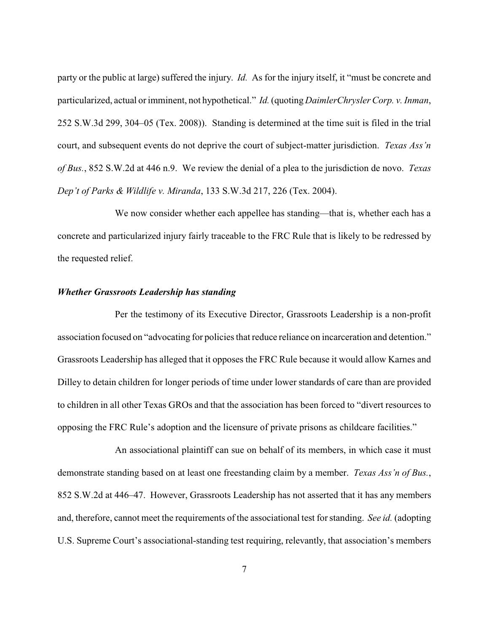party or the public at large) suffered the injury. *Id.* As for the injury itself, it "must be concrete and particularized, actual or imminent, not hypothetical." *Id.*(quoting *DaimlerChrysler Corp. v. Inman*, 252 S.W.3d 299, 304–05 (Tex. 2008)). Standing is determined at the time suit is filed in the trial court, and subsequent events do not deprive the court of subject-matter jurisdiction. *Texas Ass'n of Bus.*, 852 S.W.2d at 446 n.9. We review the denial of a plea to the jurisdiction de novo. *Texas Dep't of Parks & Wildlife v. Miranda*, 133 S.W.3d 217, 226 (Tex. 2004).

We now consider whether each appellee has standing—that is, whether each has a concrete and particularized injury fairly traceable to the FRC Rule that is likely to be redressed by the requested relief.

### *Whether Grassroots Leadership has standing*

Per the testimony of its Executive Director, Grassroots Leadership is a non-profit association focused on "advocating for policies that reduce reliance on incarceration and detention." Grassroots Leadership has alleged that it opposes the FRC Rule because it would allow Karnes and Dilley to detain children for longer periods of time under lower standards of care than are provided to children in all other Texas GROs and that the association has been forced to "divert resources to opposing the FRC Rule's adoption and the licensure of private prisons as childcare facilities."

An associational plaintiff can sue on behalf of its members, in which case it must demonstrate standing based on at least one freestanding claim by a member. *Texas Ass'n of Bus.*, 852 S.W.2d at 446–47. However, Grassroots Leadership has not asserted that it has any members and, therefore, cannot meet the requirements of the associational test for standing. *See id.* (adopting U.S. Supreme Court's associational-standing test requiring, relevantly, that association's members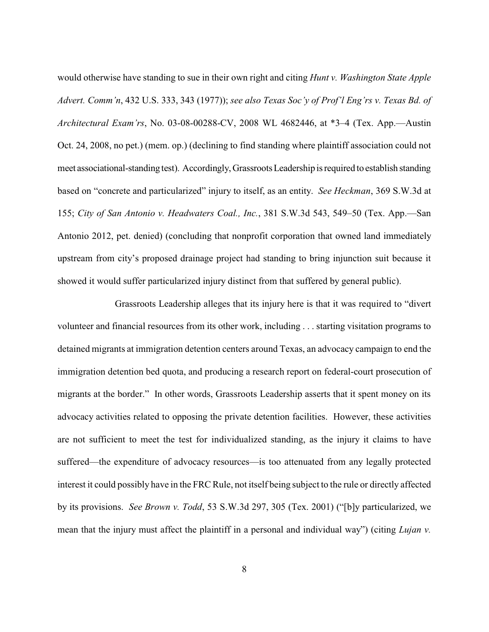would otherwise have standing to sue in their own right and citing *Hunt v. Washington State Apple Advert. Comm'n*, 432 U.S. 333, 343 (1977)); *see also Texas Soc'y of Prof'l Eng'rs v. Texas Bd. of Architectural Exam'rs*, No. 03-08-00288-CV, 2008 WL 4682446, at \*3–4 (Tex. App.—Austin Oct. 24, 2008, no pet.) (mem. op.) (declining to find standing where plaintiff association could not meet associational-standing test). Accordingly,GrassrootsLeadership isrequired to establish standing based on "concrete and particularized" injury to itself, as an entity. *See Heckman*, 369 S.W.3d at 155; *City of San Antonio v. Headwaters Coal., Inc.*, 381 S.W.3d 543, 549–50 (Tex. App.—San Antonio 2012, pet. denied) (concluding that nonprofit corporation that owned land immediately upstream from city's proposed drainage project had standing to bring injunction suit because it showed it would suffer particularized injury distinct from that suffered by general public).

Grassroots Leadership alleges that its injury here is that it was required to "divert volunteer and financial resources from its other work, including . . . starting visitation programs to detained migrants at immigration detention centers around Texas, an advocacy campaign to end the immigration detention bed quota, and producing a research report on federal-court prosecution of migrants at the border." In other words, Grassroots Leadership asserts that it spent money on its advocacy activities related to opposing the private detention facilities. However, these activities are not sufficient to meet the test for individualized standing, as the injury it claims to have suffered—the expenditure of advocacy resources—is too attenuated from any legally protected interest it could possibly have in the FRC Rule, not itself being subject to the rule or directly affected by its provisions. *See Brown v. Todd*, 53 S.W.3d 297, 305 (Tex. 2001) ("[b]y particularized, we mean that the injury must affect the plaintiff in a personal and individual way") (citing *Lujan v.*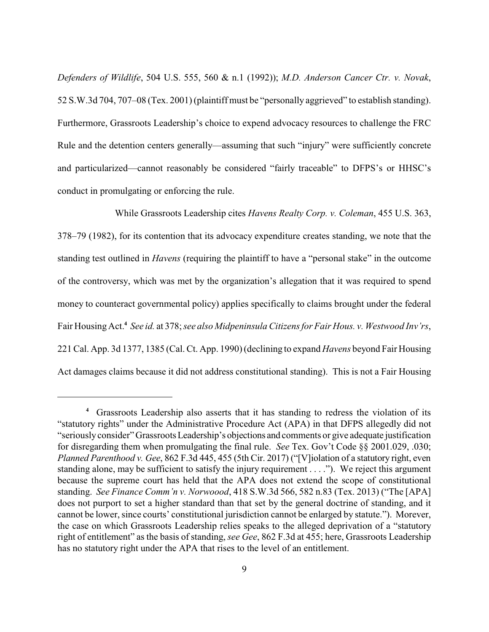*Defenders of Wildlife*, 504 U.S. 555, 560 & n.1 (1992)); *M.D. Anderson Cancer Ctr. v. Novak*, 52 S.W.3d 704, 707–08 (Tex. 2001) (plaintiff must be "personally aggrieved" to establish standing). Furthermore, Grassroots Leadership's choice to expend advocacy resources to challenge the FRC Rule and the detention centers generally—assuming that such "injury" were sufficiently concrete and particularized—cannot reasonably be considered "fairly traceable" to DFPS's or HHSC's conduct in promulgating or enforcing the rule.

While Grassroots Leadership cites *Havens Realty Corp. v. Coleman*, 455 U.S. 363, 378–79 (1982), for its contention that its advocacy expenditure creates standing, we note that the standing test outlined in *Havens* (requiring the plaintiff to have a "personal stake" in the outcome of the controversy, which was met by the organization's allegation that it was required to spend money to counteract governmental policy) applies specifically to claims brought under the federal Fair Housing Act. *See id.* at 378; *see also Midpeninsula Citizens for Fair Hous. v. Westwood Inv'rs*, **4** 221 Cal. App. 3d 1377, 1385 (Cal. Ct. App. 1990) (declining to expand *Havens* beyond Fair Housing Act damages claims because it did not address constitutional standing). This is not a Fair Housing

Grassroots Leadership also asserts that it has standing to redress the violation of its **<sup>4</sup>** "statutory rights" under the Administrative Procedure Act (APA) in that DFPS allegedly did not "seriously consider"Grassroots Leadership's objections and comments or give adequate justification for disregarding them when promulgating the final rule. *See* Tex. Gov't Code §§ 2001.029, .030; *Planned Parenthood v. Gee*, 862 F.3d 445, 455 (5th Cir. 2017) ("[V]iolation of a statutory right, even standing alone, may be sufficient to satisfy the injury requirement . . . ."). We reject this argument because the supreme court has held that the APA does not extend the scope of constitutional standing. *See Finance Comm'n v. Norwoood*, 418 S.W.3d 566, 582 n.83 (Tex. 2013) ("The [APA] does not purport to set a higher standard than that set by the general doctrine of standing, and it cannot be lower, since courts' constitutional jurisdiction cannot be enlarged by statute."). Morever, the case on which Grassroots Leadership relies speaks to the alleged deprivation of a "statutory right of entitlement" as the basis of standing, *see Gee*, 862 F.3d at 455; here, Grassroots Leadership has no statutory right under the APA that rises to the level of an entitlement.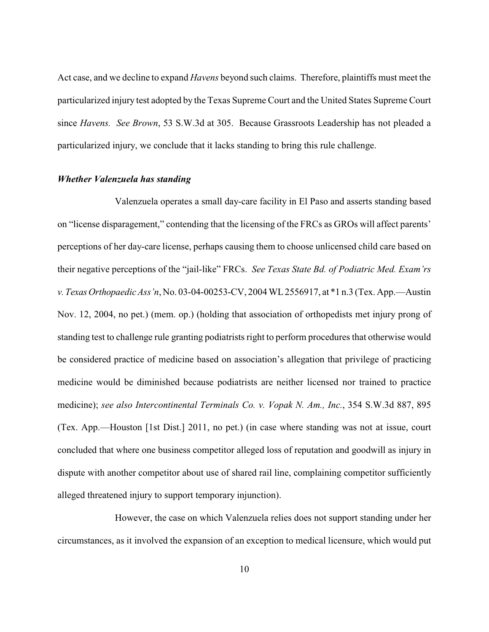Act case, and we decline to expand *Havens* beyond such claims. Therefore, plaintiffs must meet the particularized injury test adopted by the Texas Supreme Court and the United States Supreme Court since *Havens. See Brown*, 53 S.W.3d at 305. Because Grassroots Leadership has not pleaded a particularized injury, we conclude that it lacks standing to bring this rule challenge.

#### *Whether Valenzuela has standing*

Valenzuela operates a small day-care facility in El Paso and asserts standing based on "license disparagement," contending that the licensing of the FRCs as GROs will affect parents' perceptions of her day-care license, perhaps causing them to choose unlicensed child care based on their negative perceptions of the "jail-like" FRCs. *See Texas State Bd. of Podiatric Med. Exam'rs v.TexasOrthopaedic Ass'n*, No. 03-04-00253-CV, 2004 WL2556917, at \*1 n.3 (Tex. App.—Austin Nov. 12, 2004, no pet.) (mem. op.) (holding that association of orthopedists met injury prong of standing test to challenge rule granting podiatrists right to perform procedures that otherwise would be considered practice of medicine based on association's allegation that privilege of practicing medicine would be diminished because podiatrists are neither licensed nor trained to practice medicine); *see also Intercontinental Terminals Co. v. Vopak N. Am., Inc.*, 354 S.W.3d 887, 895 (Tex. App.—Houston [1st Dist.] 2011, no pet.) (in case where standing was not at issue, court concluded that where one business competitor alleged loss of reputation and goodwill as injury in dispute with another competitor about use of shared rail line, complaining competitor sufficiently alleged threatened injury to support temporary injunction).

However, the case on which Valenzuela relies does not support standing under her circumstances, as it involved the expansion of an exception to medical licensure, which would put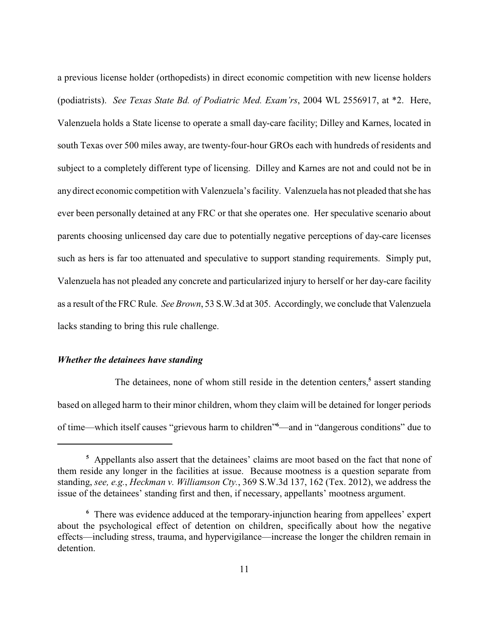a previous license holder (orthopedists) in direct economic competition with new license holders (podiatrists). *See Texas State Bd. of Podiatric Med. Exam'rs*, 2004 WL 2556917, at \*2. Here, Valenzuela holds a State license to operate a small day-care facility; Dilley and Karnes, located in south Texas over 500 miles away, are twenty-four-hour GROs each with hundreds of residents and subject to a completely different type of licensing. Dilley and Karnes are not and could not be in anydirect economic competition with Valenzuela's facility. Valenzuela has not pleaded that she has ever been personally detained at any FRC or that she operates one. Her speculative scenario about parents choosing unlicensed day care due to potentially negative perceptions of day-care licenses such as hers is far too attenuated and speculative to support standing requirements. Simply put, Valenzuela has not pleaded any concrete and particularized injury to herself or her day-care facility as a result of the FRCRule. *See Brown*, 53 S.W.3d at 305. Accordingly, we conclude that Valenzuela lacks standing to bring this rule challenge.

#### *Whether the detainees have standing*

The detainees, none of whom still reside in the detention centers,<sup>5</sup> assert standing based on alleged harm to their minor children, whom they claim will be detained for longer periods of time—which itself causes "grievous harm to children" e—and in "dangerous conditions" due to

Appellants also assert that the detainees' claims are moot based on the fact that none of **<sup>5</sup>** them reside any longer in the facilities at issue. Because mootness is a question separate from standing, *see, e.g.*, *Heckman v. Williamson Cty.*, 369 S.W.3d 137, 162 (Tex. 2012), we address the issue of the detainees' standing first and then, if necessary, appellants' mootness argument.

There was evidence adduced at the temporary-injunction hearing from appellees' expert **<sup>6</sup>** about the psychological effect of detention on children, specifically about how the negative effects—including stress, trauma, and hypervigilance—increase the longer the children remain in detention.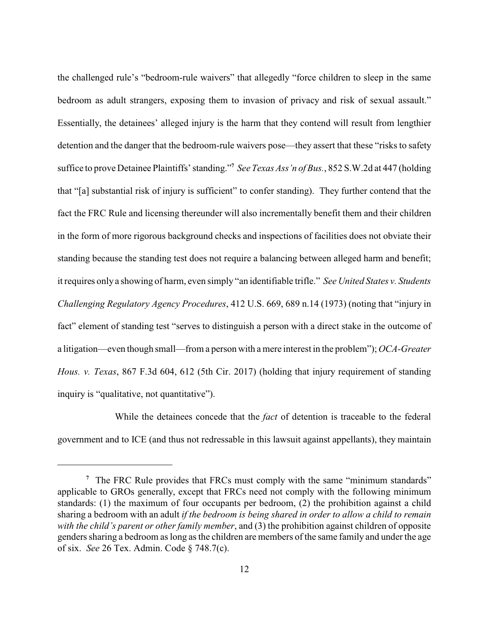the challenged rule's "bedroom-rule waivers" that allegedly "force children to sleep in the same bedroom as adult strangers, exposing them to invasion of privacy and risk of sexual assault." Essentially, the detainees' alleged injury is the harm that they contend will result from lengthier detention and the danger that the bedroom-rule waivers pose—they assert that these "risks to safety suffice to prove Detainee Plaintiffs' standing."<sup>7</sup> See Texas Ass'n of Bus., 852 S.W.2d at 447 (holding that "[a] substantial risk of injury is sufficient" to confer standing). They further contend that the fact the FRC Rule and licensing thereunder will also incrementally benefit them and their children in the form of more rigorous background checks and inspections of facilities does not obviate their standing because the standing test does not require a balancing between alleged harm and benefit; it requires only a showing of harm, even simply "an identifiable trifle." *See United States v. Students Challenging Regulatory Agency Procedures*, 412 U.S. 669, 689 n.14 (1973) (noting that "injury in fact" element of standing test "serves to distinguish a person with a direct stake in the outcome of a litigation—even though small—from a person with a mere interest in the problem"); *OCA-Greater Hous. v. Texas*, 867 F.3d 604, 612 (5th Cir. 2017) (holding that injury requirement of standing inquiry is "qualitative, not quantitative").

While the detainees concede that the *fact* of detention is traceable to the federal government and to ICE (and thus not redressable in this lawsuit against appellants), they maintain

<sup>&</sup>lt;sup>7</sup> The FRC Rule provides that FRCs must comply with the same "minimum standards" applicable to GROs generally, except that FRCs need not comply with the following minimum standards: (1) the maximum of four occupants per bedroom, (2) the prohibition against a child sharing a bedroom with an adult *if the bedroom is being shared in order to allow a child to remain with the child's parent or other family member*, and (3) the prohibition against children of opposite genders sharing a bedroom as long as the children are members of the same family and under the age of six. *See* 26 Tex. Admin. Code § 748.7(c).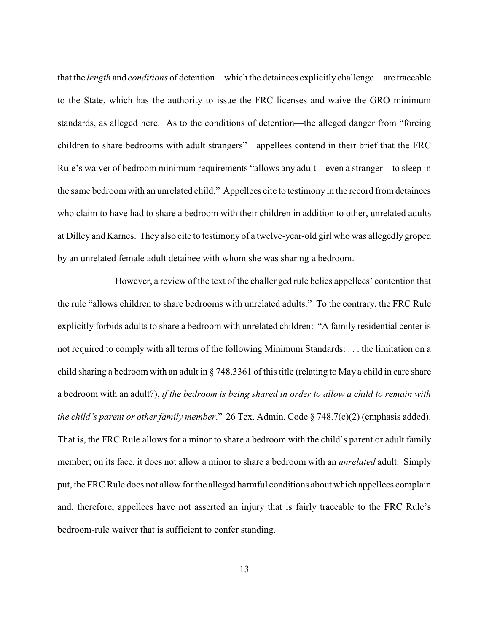that the *length* and *conditions* of detention—which the detainees explicitly challenge—are traceable to the State, which has the authority to issue the FRC licenses and waive the GRO minimum standards, as alleged here. As to the conditions of detention—the alleged danger from "forcing children to share bedrooms with adult strangers"—appellees contend in their brief that the FRC Rule's waiver of bedroom minimum requirements "allows any adult—even a stranger—to sleep in the same bedroom with an unrelated child." Appellees cite to testimony in the record from detainees who claim to have had to share a bedroom with their children in addition to other, unrelated adults at Dilley and Karnes. They also cite to testimony of a twelve-year-old girl who was allegedly groped by an unrelated female adult detainee with whom she was sharing a bedroom.

However, a review of the text of the challenged rule belies appellees' contention that the rule "allows children to share bedrooms with unrelated adults." To the contrary, the FRC Rule explicitly forbids adults to share a bedroom with unrelated children: "A family residential center is not required to comply with all terms of the following Minimum Standards: . . . the limitation on a child sharing a bedroom with an adult in § 748.3361 of this title (relating to May a child in care share a bedroom with an adult?), *if the bedroom is being shared in order to allow a child to remain with the child's parent or other family member*." 26 Tex. Admin. Code § 748.7(c)(2) (emphasis added). That is, the FRC Rule allows for a minor to share a bedroom with the child's parent or adult family member; on its face, it does not allow a minor to share a bedroom with an *unrelated* adult. Simply put, the FRC Rule does not allow for the alleged harmful conditions about which appellees complain and, therefore, appellees have not asserted an injury that is fairly traceable to the FRC Rule's bedroom-rule waiver that is sufficient to confer standing.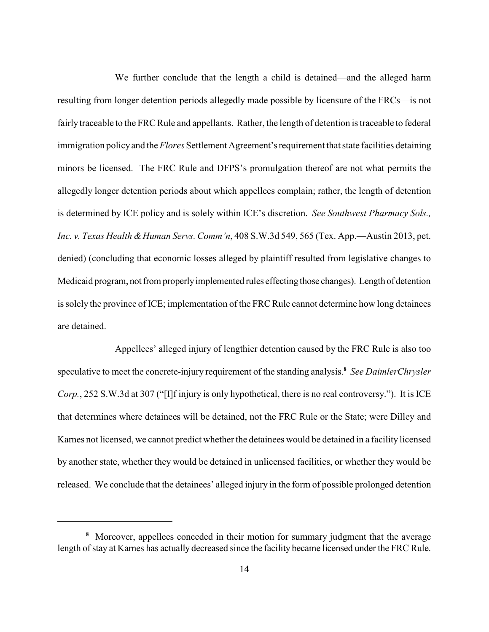We further conclude that the length a child is detained—and the alleged harm resulting from longer detention periods allegedly made possible by licensure of the FRCs—is not fairlytraceable to the FRC Rule and appellants. Rather, the length of detention is traceable to federal immigration policyand the *Flores* Settlement Agreement'srequirement that state facilities detaining minors be licensed. The FRC Rule and DFPS's promulgation thereof are not what permits the allegedly longer detention periods about which appellees complain; rather, the length of detention is determined by ICE policy and is solely within ICE's discretion. *See Southwest Pharmacy Sols., Inc. v. Texas Health &Human Servs. Comm'n*, 408 S.W.3d 549, 565 (Tex. App.—Austin 2013, pet. denied) (concluding that economic losses alleged by plaintiff resulted from legislative changes to Medicaid program, not from properlyimplemented rules effecting those changes). Length of detention is solely the province of ICE; implementation of the FRC Rule cannot determine how long detainees are detained.

Appellees' alleged injury of lengthier detention caused by the FRC Rule is also too speculative to meet the concrete-injury requirement of the standing analysis. *See DaimlerChrysler* **<sup>8</sup>** *Corp.*, 252 S.W.3d at 307 ("[I]f injury is only hypothetical, there is no real controversy."). It is ICE that determines where detainees will be detained, not the FRC Rule or the State; were Dilley and Karnes not licensed, we cannot predict whether the detainees would be detained in a facility licensed by another state, whether they would be detained in unlicensed facilities, or whether they would be released. We conclude that the detainees' alleged injury in the form of possible prolonged detention

Moreover, appellees conceded in their motion for summary judgment that the average **8** length of stay at Karnes has actually decreased since the facility became licensed under the FRC Rule.